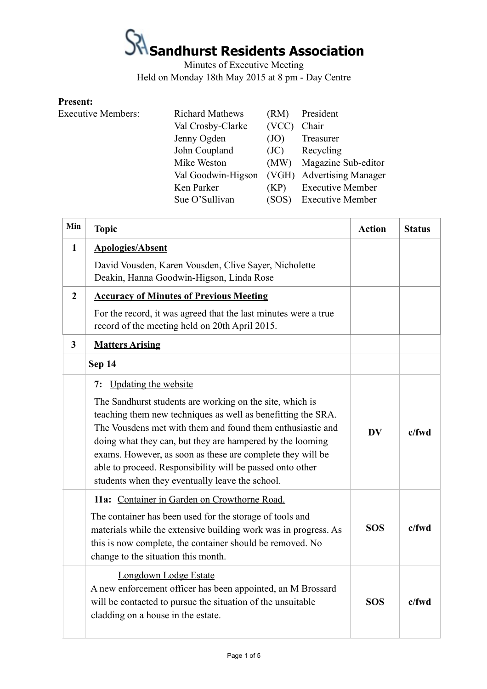## **K**<br>Sandhurst Residents Association

Minutes of Executive Meeting Held on Monday 18th May 2015 at 8 pm - Day Centre

#### **Present:**

Executive Members: Richard Mathews (RM) President Val Crosby-Clarke (VCC) Chair Jenny Ogden (JO) Treasurer John Coupland (JC) Recycling Mike Weston (MW) Magazine Sub-editor Val Goodwin-Higson (VGH) Advertising Manager Ken Parker (KP) Executive Member Sue O'Sullivan (SOS) Executive Member

| Min            | <b>Topic</b>                                                                                                                                                                                                                                                                                                                                                                                                                                                           | <b>Action</b> | <b>Status</b> |
|----------------|------------------------------------------------------------------------------------------------------------------------------------------------------------------------------------------------------------------------------------------------------------------------------------------------------------------------------------------------------------------------------------------------------------------------------------------------------------------------|---------------|---------------|
| $\mathbf{1}$   | <b>Apologies/Absent</b>                                                                                                                                                                                                                                                                                                                                                                                                                                                |               |               |
|                | David Vousden, Karen Vousden, Clive Sayer, Nicholette<br>Deakin, Hanna Goodwin-Higson, Linda Rose                                                                                                                                                                                                                                                                                                                                                                      |               |               |
| $\overline{2}$ | <b>Accuracy of Minutes of Previous Meeting</b>                                                                                                                                                                                                                                                                                                                                                                                                                         |               |               |
|                | For the record, it was agreed that the last minutes were a true<br>record of the meeting held on 20th April 2015.                                                                                                                                                                                                                                                                                                                                                      |               |               |
| 3              | <b>Matters Arising</b>                                                                                                                                                                                                                                                                                                                                                                                                                                                 |               |               |
|                | Sep 14                                                                                                                                                                                                                                                                                                                                                                                                                                                                 |               |               |
|                | <b>Updating the website</b><br>7:<br>The Sandhurst students are working on the site, which is<br>teaching them new techniques as well as benefitting the SRA.<br>The Vousdens met with them and found them enthusiastic and<br>doing what they can, but they are hampered by the looming<br>exams. However, as soon as these are complete they will be<br>able to proceed. Responsibility will be passed onto other<br>students when they eventually leave the school. | <b>DV</b>     | c/fwd         |
|                | 11a: Container in Garden on Crowthorne Road.<br>The container has been used for the storage of tools and<br>materials while the extensive building work was in progress. As<br>this is now complete, the container should be removed. No<br>change to the situation this month.                                                                                                                                                                                        | <b>SOS</b>    | c/fwd         |
|                | Longdown Lodge Estate<br>A new enforcement officer has been appointed, an M Brossard<br>will be contacted to pursue the situation of the unsuitable<br>cladding on a house in the estate.                                                                                                                                                                                                                                                                              | <b>SOS</b>    | $c$ /fwd      |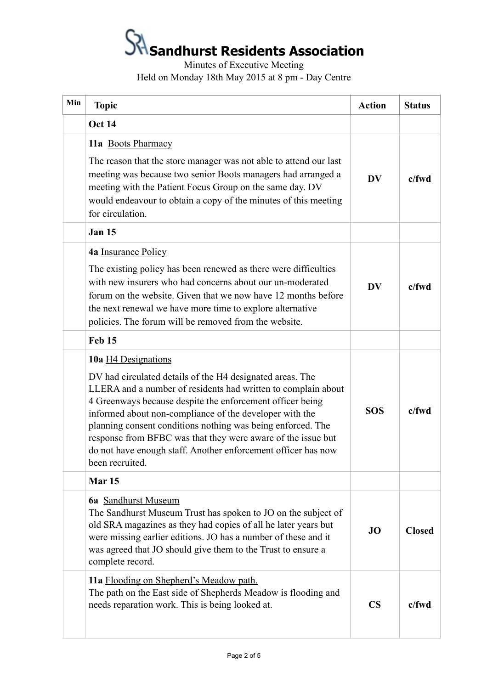# **Sandhurst Residents Association**

Minutes of Executive Meeting Held on Monday 18th May 2015 at 8 pm - Day Centre

| Min | <b>Topic</b>                                                                                                                                                                                                                                                                                                                                                                                                                                                                                 | <b>Action</b> | <b>Status</b> |
|-----|----------------------------------------------------------------------------------------------------------------------------------------------------------------------------------------------------------------------------------------------------------------------------------------------------------------------------------------------------------------------------------------------------------------------------------------------------------------------------------------------|---------------|---------------|
|     | <b>Oct 14</b>                                                                                                                                                                                                                                                                                                                                                                                                                                                                                |               |               |
|     | 11a Boots Pharmacy<br>The reason that the store manager was not able to attend our last<br>meeting was because two senior Boots managers had arranged a<br>meeting with the Patient Focus Group on the same day. DV<br>would endeavour to obtain a copy of the minutes of this meeting<br>for circulation.                                                                                                                                                                                   | DV            | $c$ /fwd      |
|     | <b>Jan 15</b>                                                                                                                                                                                                                                                                                                                                                                                                                                                                                |               |               |
|     | 4a Insurance Policy<br>The existing policy has been renewed as there were difficulties<br>with new insurers who had concerns about our un-moderated<br>forum on the website. Given that we now have 12 months before<br>the next renewal we have more time to explore alternative<br>policies. The forum will be removed from the website.                                                                                                                                                   | DV            | $c$ /fwd      |
|     | Feb 15                                                                                                                                                                                                                                                                                                                                                                                                                                                                                       |               |               |
|     | 10a H4 Designations<br>DV had circulated details of the H4 designated areas. The<br>LLERA and a number of residents had written to complain about<br>4 Greenways because despite the enforcement officer being<br>informed about non-compliance of the developer with the<br>planning consent conditions nothing was being enforced. The<br>response from BFBC was that they were aware of the issue but<br>do not have enough staff. Another enforcement officer has now<br>been recruited. | <b>SOS</b>    | $c$ /fwd      |
|     | Mar <sub>15</sub>                                                                                                                                                                                                                                                                                                                                                                                                                                                                            |               |               |
|     | <b>6a</b> Sandhurst Museum<br>The Sandhurst Museum Trust has spoken to JO on the subject of<br>old SRA magazines as they had copies of all he later years but<br>were missing earlier editions. JO has a number of these and it<br>was agreed that JO should give them to the Trust to ensure a<br>complete record.                                                                                                                                                                          | <b>JO</b>     | <b>Closed</b> |
|     | 11a Flooding on Shepherd's Meadow path.<br>The path on the East side of Shepherds Meadow is flooding and<br>needs reparation work. This is being looked at.                                                                                                                                                                                                                                                                                                                                  | $\mathbf{CS}$ | $c$ /fwd      |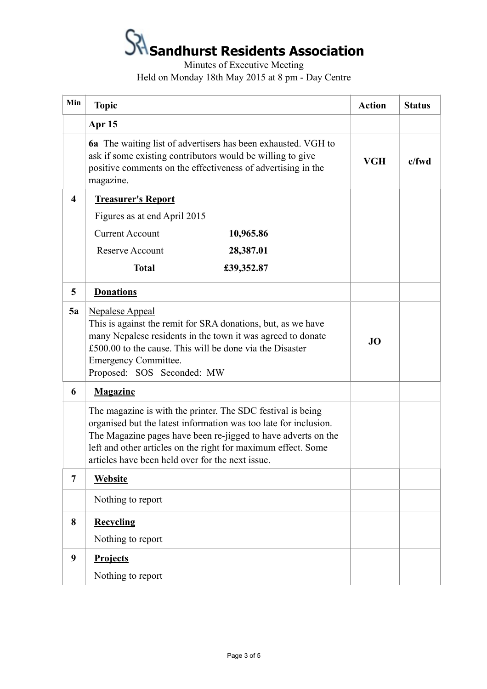### **Sandhurst Residents Association**

Minutes of Executive Meeting Held on Monday 18th May 2015 at 8 pm - Day Centre

| Min            | <b>Topic</b>                                                                                                                                                                                                                                                                                                          | <b>Action</b> | <b>Status</b> |
|----------------|-----------------------------------------------------------------------------------------------------------------------------------------------------------------------------------------------------------------------------------------------------------------------------------------------------------------------|---------------|---------------|
|                | Apr 15                                                                                                                                                                                                                                                                                                                |               |               |
|                | <b>6a</b> The waiting list of advertisers has been exhausted. VGH to<br>ask if some existing contributors would be willing to give<br>positive comments on the effectiveness of advertising in the<br>magazine.                                                                                                       | <b>VGH</b>    | $c$ /fwd      |
| 4              | <b>Treasurer's Report</b>                                                                                                                                                                                                                                                                                             |               |               |
|                | Figures as at end April 2015                                                                                                                                                                                                                                                                                          |               |               |
|                | <b>Current Account</b><br>10,965.86                                                                                                                                                                                                                                                                                   |               |               |
|                | <b>Reserve Account</b><br>28,387.01                                                                                                                                                                                                                                                                                   |               |               |
|                | <b>Total</b><br>£39,352.87                                                                                                                                                                                                                                                                                            |               |               |
| 5              | <b>Donations</b>                                                                                                                                                                                                                                                                                                      |               |               |
| 5a             | <b>Nepalese Appeal</b><br>This is against the remit for SRA donations, but, as we have<br>many Nepalese residents in the town it was agreed to donate<br>£500.00 to the cause. This will be done via the Disaster<br><b>Emergency Committee.</b><br>Proposed: SOS Seconded: MW                                        | JO            |               |
| 6              | <b>Magazine</b>                                                                                                                                                                                                                                                                                                       |               |               |
|                | The magazine is with the printer. The SDC festival is being<br>organised but the latest information was too late for inclusion.<br>The Magazine pages have been re-jigged to have adverts on the<br>left and other articles on the right for maximum effect. Some<br>articles have been held over for the next issue. |               |               |
| $\overline{7}$ | <b>Website</b>                                                                                                                                                                                                                                                                                                        |               |               |
|                | Nothing to report                                                                                                                                                                                                                                                                                                     |               |               |
| 8              | <b>Recycling</b>                                                                                                                                                                                                                                                                                                      |               |               |
|                | Nothing to report                                                                                                                                                                                                                                                                                                     |               |               |
| 9              | <b>Projects</b>                                                                                                                                                                                                                                                                                                       |               |               |
|                | Nothing to report                                                                                                                                                                                                                                                                                                     |               |               |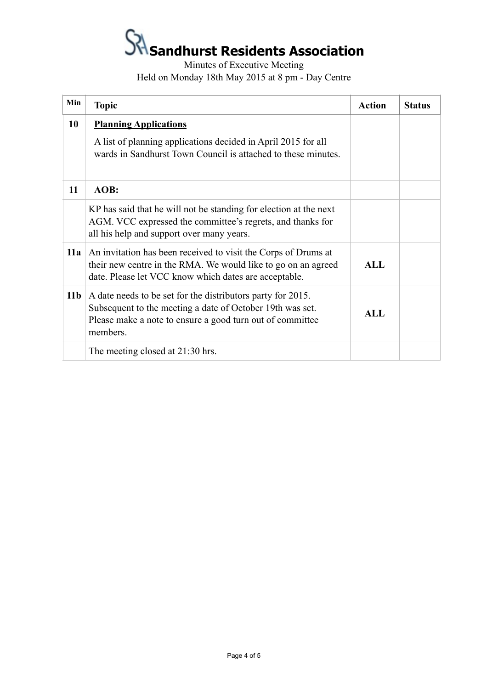### **Sandhurst Residents Association**

Minutes of Executive Meeting Held on Monday 18th May 2015 at 8 pm - Day Centre

| Min             | <b>Topic</b>                                                                                                                                                                                      | <b>Action</b> | <b>Status</b> |
|-----------------|---------------------------------------------------------------------------------------------------------------------------------------------------------------------------------------------------|---------------|---------------|
| 10              | <b>Planning Applications</b>                                                                                                                                                                      |               |               |
|                 | A list of planning applications decided in April 2015 for all<br>wards in Sandhurst Town Council is attached to these minutes.                                                                    |               |               |
| 11              | AOB:                                                                                                                                                                                              |               |               |
|                 | KP has said that he will not be standing for election at the next<br>AGM. VCC expressed the committee's regrets, and thanks for<br>all his help and support over many years.                      |               |               |
| 11a             | An invitation has been received to visit the Corps of Drums at<br>their new centre in the RMA. We would like to go on an agreed<br>date. Please let VCC know which dates are acceptable.          | <b>ALL</b>    |               |
| 11 <sub>b</sub> | A date needs to be set for the distributors party for 2015.<br>Subsequent to the meeting a date of October 19th was set.<br>Please make a note to ensure a good turn out of committee<br>members. | <b>ALL</b>    |               |
|                 | The meeting closed at 21:30 hrs.                                                                                                                                                                  |               |               |